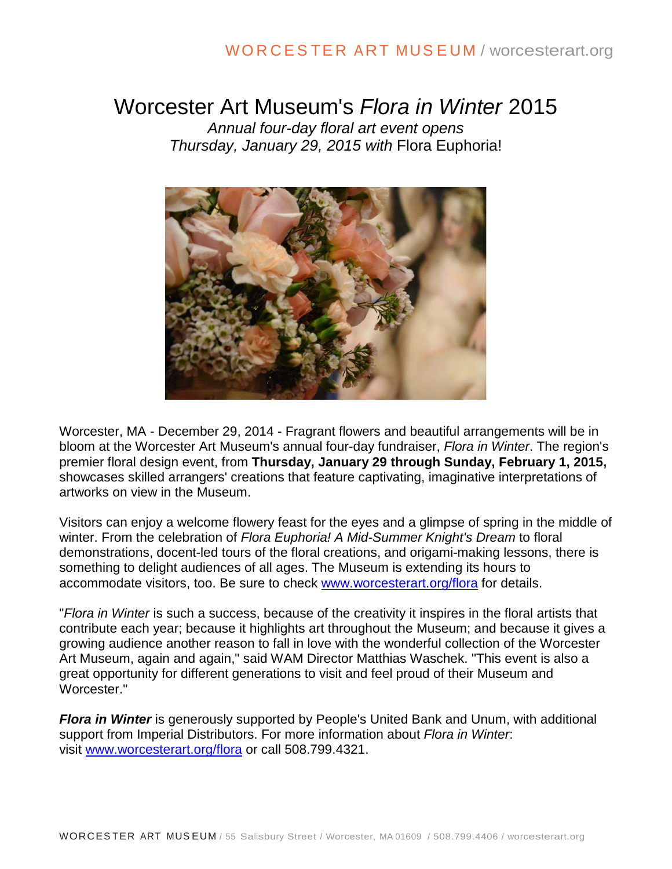### WO R C E S TE R ART MUS E UM / worcesterart.org

# Worcester Art Museum's *Flora in Winter* 2015

*Annual four-day floral art event opens Thursday, January 29, 2015 with* Flora Euphoria!



Worcester, MA - December 29, 2014 - Fragrant flowers and beautiful arrangements will be in bloom at the Worcester Art Museum's annual four-day fundraiser, *Flora in Winter*. The region's premier floral design event, from **Thursday, January 29 through Sunday, February 1, 2015,** showcases skilled arrangers' creations that feature captivating, imaginative interpretations of artworks on view in the Museum.

Visitors can enjoy a welcome flowery feast for the eyes and a glimpse of spring in the middle of winter. From the celebration of *Flora Euphoria! A Mid-Summer Knight's Dream* to floral demonstrations, docent-led tours of the floral creations, and origami-making lessons, there is something to delight audiences of all ages. The Museum is extending its hours to accommodate visitors, too. Be sure to check [www.worcesterart.org/flora](http://www.worcesterart.org/flora) for details.

"*Flora in Winter* is such a success, because of the creativity it inspires in the floral artists that contribute each year; because it highlights art throughout the Museum; and because it gives a growing audience another reason to fall in love with the wonderful collection of the Worcester Art Museum, again and again," said WAM Director Matthias Waschek. "This event is also a great opportunity for different generations to visit and feel proud of their Museum and Worcester."

*Flora in Winter* is generously supported by People's United Bank and Unum, with additional support from Imperial Distributors. For more information about *Flora in Winter*: visit [www.worcesterart.org/flora](http://www.worcesterart.org/flora) or call 508.799.4321.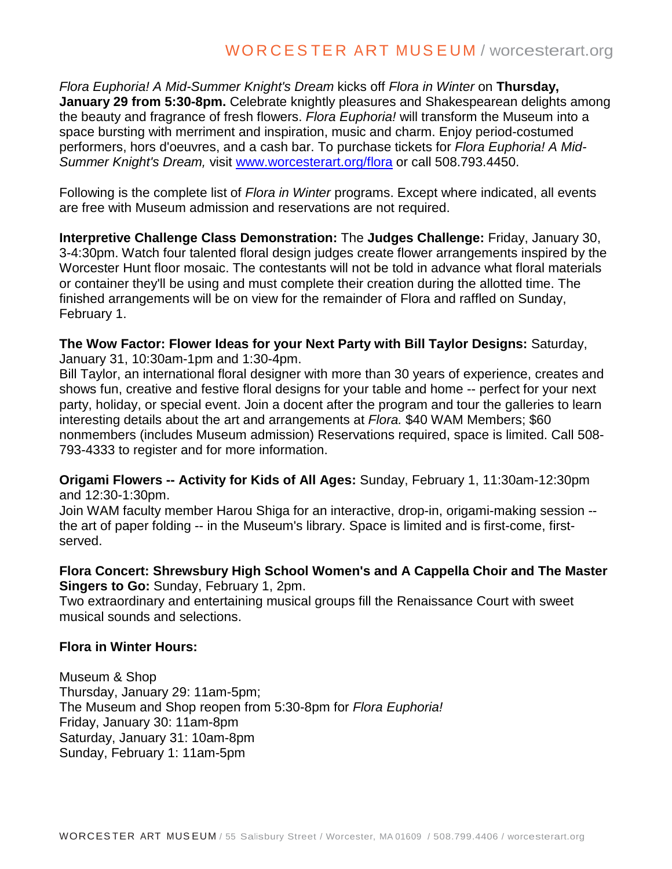*Flora Euphoria! A Mid-Summer Knight's Dream* kicks off *Flora in Winter* on **Thursday, January 29 from 5:30-8pm.** Celebrate knightly pleasures and Shakespearean delights among the beauty and fragrance of fresh flowers. *Flora Euphoria!* will transform the Museum into a space bursting with merriment and inspiration, music and charm. Enjoy period-costumed performers, hors d'oeuvres, and a cash bar. To purchase tickets for *Flora Euphoria! A Mid-Summer Knight's Dream,* visit [www.worcesterart.org/flora](http://www.worcesterart.org/flora) or call 508.793.4450.

Following is the complete list of *Flora in Winter* programs. Except where indicated, all events are free with Museum admission and reservations are not required.

**Interpretive Challenge Class Demonstration:** The **Judges Challenge:** Friday, January 30, 3-4:30pm. Watch four talented floral design judges create flower arrangements inspired by the Worcester Hunt floor mosaic. The contestants will not be told in advance what floral materials or container they'll be using and must complete their creation during the allotted time. The finished arrangements will be on view for the remainder of Flora and raffled on Sunday, February 1.

**The Wow Factor: Flower Ideas for your Next Party with Bill Taylor Designs:** Saturday, January 31, 10:30am-1pm and 1:30-4pm.

Bill Taylor, an international floral designer with more than 30 years of experience, creates and shows fun, creative and festive floral designs for your table and home -- perfect for your next party, holiday, or special event. Join a docent after the program and tour the galleries to learn interesting details about the art and arrangements at *Flora.* \$40 WAM Members; \$60 nonmembers (includes Museum admission) Reservations required, space is limited. Call 508- 793-4333 to register and for more information.

**Origami Flowers -- Activity for Kids of All Ages:** Sunday, February 1, 11:30am-12:30pm and 12:30-1:30pm.

Join WAM faculty member Harou Shiga for an interactive, drop-in, origami-making session - the art of paper folding -- in the Museum's library. Space is limited and is first-come, firstserved.

### **Flora Concert: Shrewsbury High School Women's and A Cappella Choir and The Master Singers to Go:** Sunday, February 1, 2pm.

Two extraordinary and entertaining musical groups fill the Renaissance Court with sweet musical sounds and selections.

### **Flora in Winter Hours:**

Museum & Shop Thursday, January 29: 11am-5pm; The Museum and Shop reopen from 5:30-8pm for *Flora Euphoria!* Friday, January 30: 11am-8pm Saturday, January 31: 10am-8pm Sunday, February 1: 11am-5pm